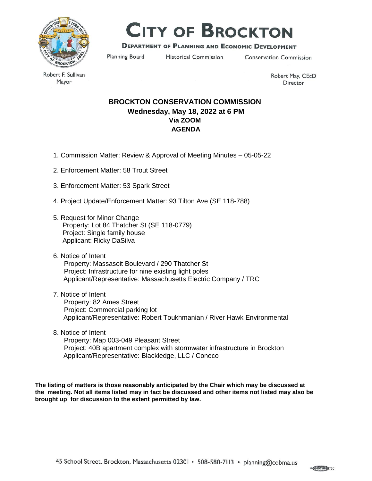

# **CITY OF BROCKTON**

### **DEPARTMENT OF PLANNING AND ECONOMIC DEVELOPMENT**

Planning Board

**Historical Commission** 

**Conservation Commission** 

Robert F. Sullivan Mayor

Robert May, CEcD Director

## **BROCKTON CONSERVATION COMMISSION Wednesday, May 18, 2022 at 6 PM Via ZOOM AGENDA**

- 1. Commission Matter: Review & Approval of Meeting Minutes 05-05-22
- 2. Enforcement Matter: 58 Trout Street
- 3. Enforcement Matter: 53 Spark Street
- 4. Project Update/Enforcement Matter: 93 Tilton Ave (SE 118-788)
- 5. Request for Minor Change Property: Lot 84 Thatcher St (SE 118-0779) Project: Single family house Applicant: Ricky DaSilva
- 6. Notice of Intent Property: Massasoit Boulevard / 290 Thatcher St Project: Infrastructure for nine existing light poles Applicant/Representative: Massachusetts Electric Company / TRC
- 7. Notice of Intent Property: 82 Ames Street Project: Commercial parking lot Applicant/Representative: Robert Toukhmanian / River Hawk Environmental
- 8. Notice of Intent Property: Map 003-049 Pleasant Street Project: 40B apartment complex with stormwater infrastructure in Brockton Applicant/Representative: Blackledge, LLC / Coneco

**The listing of matters is those reasonably anticipated by the Chair which may be discussed at the meeting. Not all items listed may in fact be discussed and other items not listed may also be brought up for discussion to the extent permitted by law.**